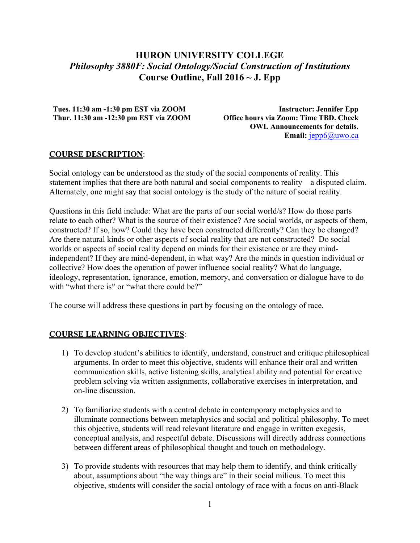# **HURON UNIVERSITY COLLEGE** *Philosophy 3880F: Social Ontology/Social Construction of Institutions* **Course Outline, Fall 2016 ~ J. Epp**

**Tues. 11:30 am -1:30 pm EST via ZOOM Thur. 11:30 am -12:30 pm EST via ZOOM**

**Instructor: Jennifer Epp Office hours via Zoom: Time TBD. Check OWL Announcements for details.**  Email:  $jepp6@$ uwo.ca

# **COURSE DESCRIPTION**:

Social ontology can be understood as the study of the social components of reality. This statement implies that there are both natural and social components to reality – a disputed claim. Alternately, one might say that social ontology is the study of the nature of social reality.

Questions in this field include: What are the parts of our social world/s? How do those parts relate to each other? What is the source of their existence? Are social worlds, or aspects of them, constructed? If so, how? Could they have been constructed differently? Can they be changed? Are there natural kinds or other aspects of social reality that are not constructed? Do social worlds or aspects of social reality depend on minds for their existence or are they mindindependent? If they are mind-dependent, in what way? Are the minds in question individual or collective? How does the operation of power influence social reality? What do language, ideology, representation, ignorance, emotion, memory, and conversation or dialogue have to do with "what there is" or "what there could be?"

The course will address these questions in part by focusing on the ontology of race.

# **COURSE LEARNING OBJECTIVES**:

- 1) To develop student's abilities to identify, understand, construct and critique philosophical arguments. In order to meet this objective, students will enhance their oral and written communication skills, active listening skills, analytical ability and potential for creative problem solving via written assignments, collaborative exercises in interpretation, and on-line discussion.
- 2) To familiarize students with a central debate in contemporary metaphysics and to illuminate connections between metaphysics and social and political philosophy. To meet this objective, students will read relevant literature and engage in written exegesis, conceptual analysis, and respectful debate. Discussions will directly address connections between different areas of philosophical thought and touch on methodology.
- 3) To provide students with resources that may help them to identify, and think critically about, assumptions about "the way things are" in their social milieus. To meet this objective, students will consider the social ontology of race with a focus on anti-Black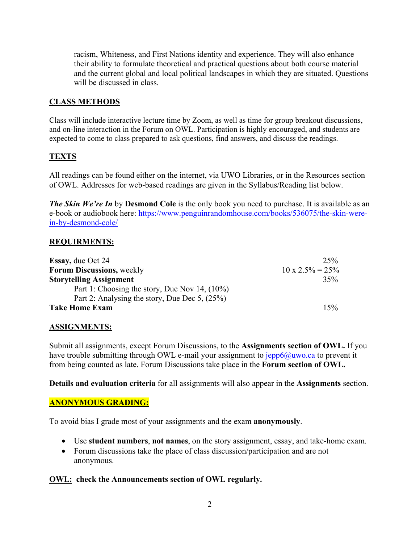racism, Whiteness, and First Nations identity and experience. They will also enhance their ability to formulate theoretical and practical questions about both course material and the current global and local political landscapes in which they are situated. Questions will be discussed in class.

# **CLASS METHODS**

Class will include interactive lecture time by Zoom, as well as time for group breakout discussions, and on-line interaction in the Forum on OWL. Participation is highly encouraged, and students are expected to come to class prepared to ask questions, find answers, and discuss the readings.

# **TEXTS**

All readings can be found either on the internet, via UWO Libraries, or in the Resources section of OWL. Addresses for web-based readings are given in the Syllabus/Reading list below.

*The Skin We're In* by **Desmond Cole** is the only book you need to purchase. It is available as an e-book or audiobook here: https://www.penguinrandomhouse.com/books/536075/the-skin-werein-by-desmond-cole/

# **REQUIRMENTS:**

| <b>Essay, due Oct 24</b>                      | 25%                      |
|-----------------------------------------------|--------------------------|
| <b>Forum Discussions, weekly</b>              | $10 \times 2.5\% = 25\%$ |
| <b>Storytelling Assignment</b>                | 35%                      |
| Part 1: Choosing the story, Due Nov 14, (10%) |                          |
| Part 2: Analysing the story, Due Dec 5, (25%) |                          |
| <b>Take Home Exam</b>                         | 15%                      |

# **ASSIGNMENTS:**

Submit all assignments, except Forum Discussions, to the **Assignments section of OWL.** If you have trouble submitting through OWL e-mail your assignment to  $jepp6@uwo.ca$  to prevent it from being counted as late. Forum Discussions take place in the **Forum section of OWL.**

**Details and evaluation criteria** for all assignments will also appear in the **Assignments** section.

# **ANONYMOUS GRADING:**

To avoid bias I grade most of your assignments and the exam **anonymously**.

- Use **student numbers**, **not names**, on the story assignment, essay, and take-home exam.
- Forum discussions take the place of class discussion/participation and are not anonymous.

# **OWL: check the Announcements section of OWL regularly.**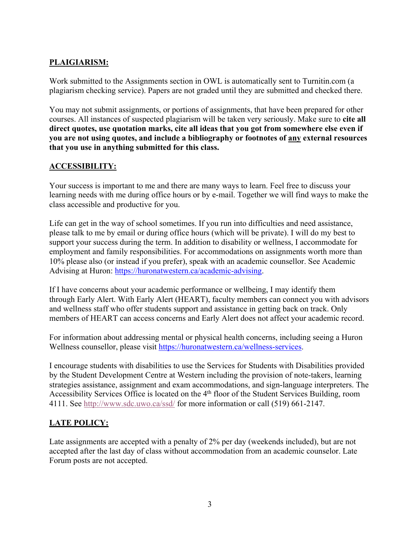# **PLAIGIARISM:**

Work submitted to the Assignments section in OWL is automatically sent to Turnitin.com (a plagiarism checking service). Papers are not graded until they are submitted and checked there.

You may not submit assignments, or portions of assignments, that have been prepared for other courses. All instances of suspected plagiarism will be taken very seriously. Make sure to **cite all direct quotes, use quotation marks, cite all ideas that you got from somewhere else even if you are not using quotes, and include a bibliography or footnotes of any external resources that you use in anything submitted for this class.**

# **ACCESSIBILITY:**

Your success is important to me and there are many ways to learn. Feel free to discuss your learning needs with me during office hours or by e-mail. Together we will find ways to make the class accessible and productive for you.

Life can get in the way of school sometimes. If you run into difficulties and need assistance, please talk to me by email or during office hours (which will be private). I will do my best to support your success during the term. In addition to disability or wellness, I accommodate for employment and family responsibilities. For accommodations on assignments worth more than 10% please also (or instead if you prefer), speak with an academic counsellor. See Academic Advising at Huron: https://huronatwestern.ca/academic-advising.

If I have concerns about your academic performance or wellbeing, I may identify them through Early Alert. With Early Alert (HEART), faculty members can connect you with advisors and wellness staff who offer students support and assistance in getting back on track. Only members of HEART can access concerns and Early Alert does not affect your academic record.

For information about addressing mental or physical health concerns, including seeing a Huron Wellness counsellor, please visit https://huronatwestern.ca/wellness-services.

I encourage students with disabilities to use the Services for Students with Disabilities provided by the Student Development Centre at Western including the provision of note-takers, learning strategies assistance, assignment and exam accommodations, and sign-language interpreters. The Accessibility Services Office is located on the 4<sup>th</sup> floor of the Student Services Building, room 4111. See http://www.sdc.uwo.ca/ssd/ for more information or call (519) 661-2147.

# **LATE POLICY:**

Late assignments are accepted with a penalty of 2% per day (weekends included), but are not accepted after the last day of class without accommodation from an academic counselor. Late Forum posts are not accepted.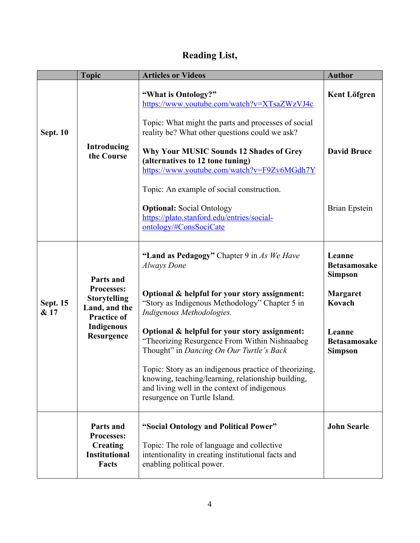# **Reading List,**

|                         | <b>Topic</b>                                                                                                | <b>Articles or Videos</b>                                                                                                                                                                   | <b>Author</b>                                   |
|-------------------------|-------------------------------------------------------------------------------------------------------------|---------------------------------------------------------------------------------------------------------------------------------------------------------------------------------------------|-------------------------------------------------|
|                         |                                                                                                             | "What is Ontology?"<br>https://www.youtube.com/watch?v=XTsaZWzVJ4c                                                                                                                          | <b>Kent Löfgren</b>                             |
| <b>Sept. 10</b>         |                                                                                                             | Topic: What might the parts and processes of social<br>reality be? What other questions could we ask?                                                                                       |                                                 |
|                         | Introducing<br>the Course                                                                                   | Why Your MUSIC Sounds 12 Shades of Grey<br>(alternatives to 12 tone tuning)<br>https://www.youtube.com/watch?v=F9Zv6MGdh7Y                                                                  | <b>David Bruce</b>                              |
|                         |                                                                                                             | Topic: An example of social construction.                                                                                                                                                   |                                                 |
|                         |                                                                                                             | <b>Optional:</b> Social Ontology<br>https://plato.stanford.edu/entries/social-<br>ontology/#ConsSociCate                                                                                    | <b>Brian Epstein</b>                            |
|                         | Parts and                                                                                                   | "Land as Pedagogy" Chapter 9 in As We Have<br><b>Always</b> Done                                                                                                                            | Leanne<br><b>Betasamosake</b><br><b>Simpson</b> |
| <b>Sept. 15</b><br>& 17 | Processes:<br><b>Storytelling</b><br>Land, and the<br><b>Practice of</b><br><b>Indigenous</b><br>Resurgence | Optional & helpful for your story assignment:<br>"Story as Indigenous Methodology" Chapter 5 in<br>Indigenous Methodologies.                                                                | <b>Margaret</b><br>Kovach                       |
|                         |                                                                                                             | Optional & helpful for your story assignment:<br>"Theorizing Resurgence From Within Nishnaabeg<br>Thought" in Dancing On Our Turtle's Back                                                  | Leanne<br><b>Betasamosake</b><br><b>Simpson</b> |
|                         |                                                                                                             | Topic: Story as an indigenous practice of theorizing,<br>knowing, teaching/learning, relationship building,<br>and living well in the context of indigenous<br>resurgence on Turtle Island. |                                                 |
|                         | Parts and<br><b>Processes:</b><br>Creating<br><b>Institutional</b><br><b>Facts</b>                          | "Social Ontology and Political Power"                                                                                                                                                       | <b>John Searle</b>                              |
|                         |                                                                                                             | Topic: The role of language and collective<br>intentionality in creating institutional facts and<br>enabling political power.                                                               |                                                 |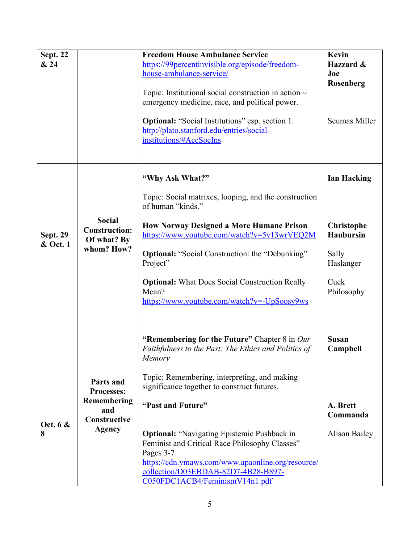| <b>Sept. 22</b><br>& 24     |                                                                                       | <b>Freedom House Ambulance Service</b><br>https://99percentinvisible.org/episode/freedom-<br>house-ambulance-service/<br>Topic: Institutional social construction in action $\sim$<br>emergency medicine, race, and political power.<br><b>Optional:</b> "Social Institutions" esp. section 1.<br>http://plato.stanford.edu/entries/social-<br>institutions/#AccSocIns                                                                                                                 | Kevin<br>Hazzard &<br>Joe<br>Rosenberg<br>Seumas Miller                                                 |
|-----------------------------|---------------------------------------------------------------------------------------|----------------------------------------------------------------------------------------------------------------------------------------------------------------------------------------------------------------------------------------------------------------------------------------------------------------------------------------------------------------------------------------------------------------------------------------------------------------------------------------|---------------------------------------------------------------------------------------------------------|
| <b>Sept. 29</b><br>& Oct. 1 | <b>Social</b><br><b>Construction:</b><br>Of what? By<br>whom? How?                    | "Why Ask What?"<br>Topic: Social matrixes, looping, and the construction<br>of human "kinds."<br><b>How Norway Designed a More Humane Prison</b><br>https://www.youtube.com/watch?v=5v13wrVEQ2M<br><b>Optional:</b> "Social Construction: the "Debunking"<br>Project"<br><b>Optional:</b> What Does Social Construction Really<br>Mean?<br>https://www.youtube.com/watch?v=-UpSoosy9ws                                                                                                 | <b>Ian Hacking</b><br><b>Christophe</b><br><b>Haubursin</b><br>Sally<br>Haslanger<br>Cuck<br>Philosophy |
| Oct. 6 &<br>8               | Parts and<br><b>Processes:</b><br>Remembering<br>and<br>Constructive<br><b>Agency</b> | "Remembering for the Future" Chapter 8 in Our<br>Faithfulness to the Past: The Ethics and Politics of<br>Memory<br>Topic: Remembering, interpreting, and making<br>significance together to construct futures.<br>"Past and Future"<br><b>Optional:</b> "Navigating Epistemic Pushback in<br>Feminist and Critical Race Philosophy Classes"<br>Pages 3-7<br>https://cdn.ymaws.com/www.apaonline.org/resource/<br>collection/D03EBDAB-82D7-4B28-B897-<br>C050FDC1ACB4/FeminismV14n1.pdf | <b>Susan</b><br>Campbell<br>A. Brett<br>Commanda<br><b>Alison Bailey</b>                                |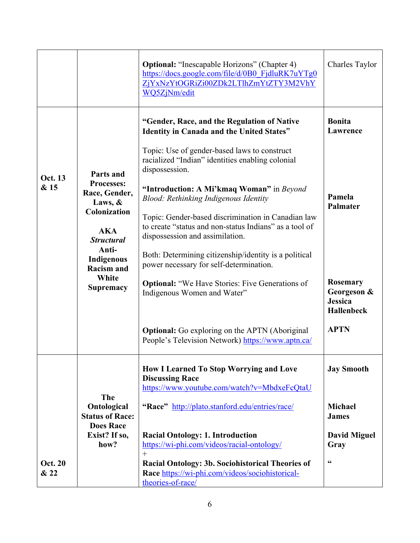|                        |                                                                                                                                                                                               | <b>Optional:</b> "Inescapable Horizons" (Chapter 4)<br>https://docs.google.com/file/d/0B0 FjdluRK7uYTg0<br>ZjYxNzYtOGRiZi00ZDk2LTlhZmYtZTY3M2VhY<br>WQ5ZjNm/edit                                                                                                                                                                                                                                                                                                                                                                                                                                                                                                                                                                                                   | Charles Taylor                                                                                                                          |
|------------------------|-----------------------------------------------------------------------------------------------------------------------------------------------------------------------------------------------|--------------------------------------------------------------------------------------------------------------------------------------------------------------------------------------------------------------------------------------------------------------------------------------------------------------------------------------------------------------------------------------------------------------------------------------------------------------------------------------------------------------------------------------------------------------------------------------------------------------------------------------------------------------------------------------------------------------------------------------------------------------------|-----------------------------------------------------------------------------------------------------------------------------------------|
| <b>Oct. 13</b><br>& 15 | Parts and<br>Processes:<br>Race, Gender,<br>Laws, &<br><b>Colonization</b><br><b>AKA</b><br><b>Structural</b><br>Anti-<br><b>Indigenous</b><br><b>Racism and</b><br>White<br><b>Supremacy</b> | "Gender, Race, and the Regulation of Native<br>Identity in Canada and the United States"<br>Topic: Use of gender-based laws to construct<br>racialized "Indian" identities enabling colonial<br>dispossession.<br>"Introduction: A Mi'kmaq Woman" in Beyond<br>Blood: Rethinking Indigenous Identity<br>Topic: Gender-based discrimination in Canadian law<br>to create "status and non-status Indians" as a tool of<br>dispossession and assimilation.<br>Both: Determining citizenship/identity is a political<br>power necessary for self-determination.<br><b>Optional:</b> "We Have Stories: Five Generations of<br>Indigenous Women and Water"<br><b>Optional:</b> Go exploring on the APTN (Aboriginal<br>People's Television Network) https://www.aptn.ca/ | <b>Bonita</b><br>Lawrence<br>Pamela<br>Palmater<br><b>Rosemary</b><br>Georgeson &<br><b>Jessica</b><br><b>Hallenbeck</b><br><b>APTN</b> |
| <b>Oct. 20</b><br>& 22 | The<br>Ontological<br><b>Status of Race:</b><br><b>Does Race</b><br>Exist? If so,<br>how?                                                                                                     | <b>How I Learned To Stop Worrying and Love</b><br><b>Discussing Race</b><br>https://www.youtube.com/watch?v=MbdxeFcQtaU<br>"Race" http://plato.stanford.edu/entries/race/<br><b>Racial Ontology: 1. Introduction</b><br>https://wi-phi.com/videos/racial-ontology/<br>$^{+}$<br>Racial Ontology: 3b. Sociohistorical Theories of<br>Race https://wi-phi.com/videos/sociohistorical-<br>theories-of-race/                                                                                                                                                                                                                                                                                                                                                           | <b>Jay Smooth</b><br><b>Michael</b><br><b>James</b><br><b>David Miguel</b><br>Gray<br>$\textsf{G}\textsf{G}$                            |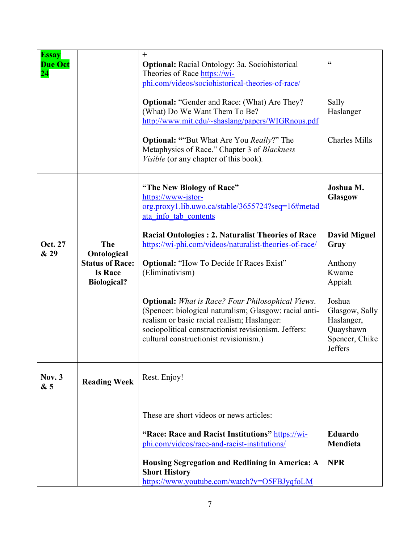| <b>Essay</b><br><b>Due Oct</b> |                                                                               | $^{+}$<br><b>Optional:</b> Racial Ontology: 3a. Sociohistorical                                                                                                                                                                                                     | $\textsf{G}\textsf{G}$                                                           |
|--------------------------------|-------------------------------------------------------------------------------|---------------------------------------------------------------------------------------------------------------------------------------------------------------------------------------------------------------------------------------------------------------------|----------------------------------------------------------------------------------|
| $\overline{24}$                |                                                                               | Theories of Race https://wi-<br>phi.com/videos/sociohistorical-theories-of-race/                                                                                                                                                                                    |                                                                                  |
|                                |                                                                               | <b>Optional: "Gender and Race: (What) Are They?</b><br>(What) Do We Want Them To Be?<br>http://www.mit.edu/~shaslang/papers/WIGRnous.pdf                                                                                                                            | Sally<br>Haslanger                                                               |
|                                |                                                                               | <b>Optional: ""But What Are You Really?" The</b><br>Metaphysics of Race." Chapter 3 of Blackness<br><i>Visible</i> (or any chapter of this book).                                                                                                                   | <b>Charles Mills</b>                                                             |
|                                |                                                                               | "The New Biology of Race"<br>https://www-jstor-<br>org.proxy1.lib.uwo.ca/stable/3655724?seq=16#metad<br>ata info tab contents                                                                                                                                       | Joshua M.<br><b>Glasgow</b>                                                      |
| Oct. 27                        | The                                                                           | <b>Racial Ontologies: 2. Naturalist Theories of Race</b><br>https://wi-phi.com/videos/naturalist-theories-of-race/                                                                                                                                                  | <b>David Miguel</b><br>Gray                                                      |
| & 29                           | Ontological<br><b>Status of Race:</b><br><b>Is Race</b><br><b>Biological?</b> | <b>Optional: "How To Decide If Races Exist"</b><br>(Eliminativism)                                                                                                                                                                                                  | Anthony<br>Kwame<br>Appiah                                                       |
|                                |                                                                               | <b>Optional:</b> What is Race? Four Philosophical Views.<br>(Spencer: biological naturalism; Glasgow: racial anti-<br>realism or basic racial realism; Haslanger:<br>sociopolitical constructionist revisionism. Jeffers:<br>cultural constructionist revisionism.) | Joshua<br>Glasgow, Sally<br>Haslanger,<br>Quayshawn<br>Spencer, Chike<br>Jeffers |
| Nov. $3$<br>&5                 | <b>Reading Week</b>                                                           | Rest. Enjoy!                                                                                                                                                                                                                                                        |                                                                                  |
|                                |                                                                               | These are short videos or news articles:                                                                                                                                                                                                                            |                                                                                  |
|                                |                                                                               | "Race: Race and Racist Institutions" https://wi-<br>phi.com/videos/race-and-racist-institutions/                                                                                                                                                                    | <b>Eduardo</b><br>Mendieta                                                       |
|                                |                                                                               | Housing Segregation and Redlining in America: A<br><b>Short History</b><br>https://www.youtube.com/watch?v=O5FBJyqfoLM                                                                                                                                              | <b>NPR</b>                                                                       |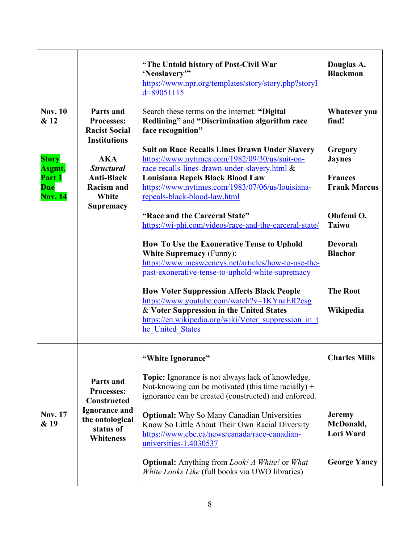|                                        |                                                                                                                           | "The Untold history of Post-Civil War<br>'Neoslavery'"<br>https://www.npr.org/templates/story/story.php?storyI<br>$d = 89051115$                                                                                         | Douglas A.<br><b>Blackmon</b>                  |
|----------------------------------------|---------------------------------------------------------------------------------------------------------------------------|--------------------------------------------------------------------------------------------------------------------------------------------------------------------------------------------------------------------------|------------------------------------------------|
| <b>Nov. 10</b><br>& 12                 | Parts and<br><b>Processes:</b><br><b>Racist Social</b><br><b>Institutions</b>                                             | Search these terms on the internet: "Digital<br>Redlining" and "Discrimination algorithm race<br>face recognition"                                                                                                       | <b>Whatever</b> you<br>find!                   |
| <b>Story</b><br>Asgmt.                 | <b>AKA</b><br><b>Structural</b><br><b>Anti-Black</b><br><b>Racism and</b><br>White<br><b>Supremacy</b>                    | <b>Suit on Race Recalls Lines Drawn Under Slavery</b><br>https://www.nytimes.com/1982/09/30/us/suit-on-<br>race-recalls-lines-drawn-under-slavery.html &                                                                 | Gregory<br><b>Jaynes</b>                       |
| Part 1<br><b>Due</b><br><b>Nov. 14</b> |                                                                                                                           | Louisiana Repels Black Blood Law<br>https://www.nytimes.com/1983/07/06/us/louisiana-<br>repeals-black-blood-law.html                                                                                                     | <b>Frances</b><br><b>Frank Marcus</b>          |
|                                        |                                                                                                                           | "Race and the Carceral State"<br>https://wi-phi.com/videos/race-and-the-carceral-state/                                                                                                                                  | Olufemi <sub>O</sub> .<br><b>Taiwo</b>         |
|                                        |                                                                                                                           | How To Use the Exonerative Tense to Uphold<br><b>White Supremacy (Funny):</b><br>https://www.mcsweeneys.net/articles/how-to-use-the-<br>past-exonerative-tense-to-uphold-white-supremacy                                 | <b>Devorah</b><br><b>Blachor</b>               |
|                                        |                                                                                                                           | <b>How Voter Suppression Affects Black People</b><br>https://www.youtube.com/watch?v=1KYnaER2esg<br>& Voter Suppression in the United States<br>https://en.wikipedia.org/wiki/Voter suppression in t<br>he United States | <b>The Root</b><br>Wikipedia                   |
|                                        |                                                                                                                           | "White Ignorance"                                                                                                                                                                                                        | <b>Charles Mills</b>                           |
| <b>Nov. 17</b><br>& 19                 | Parts and<br>Processes:<br><b>Constructed</b><br><b>Ignorance and</b><br>the ontological<br>status of<br><b>Whiteness</b> | <b>Topic:</b> Ignorance is not always lack of knowledge.<br>Not-knowing can be motivated (this time racially) +<br>ignorance can be created (constructed) and enforced.                                                  |                                                |
|                                        |                                                                                                                           | <b>Optional:</b> Why So Many Canadian Universities<br>Know So Little About Their Own Racial Diversity<br>https://www.cbc.ca/news/canada/race-canadian-<br>universities-1.4030537                                         | <b>Jeremy</b><br>McDonald,<br><b>Lori Ward</b> |
|                                        |                                                                                                                           | <b>Optional:</b> Anything from <i>Look! A White!</i> or <i>What</i><br>White Looks Like (full books via UWO libraries)                                                                                                   | <b>George Yancy</b>                            |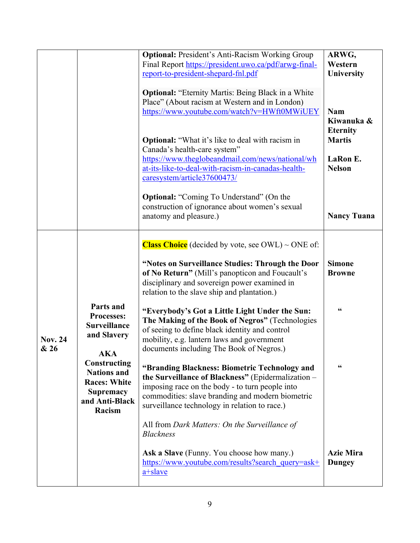|                        |                                                                                                           | <b>Optional:</b> President's Anti-Racism Working Group<br>Final Report https://president.uwo.ca/pdf/arwg-final-<br>report-to-president-shepard-fnl.pdf                                                                                                              | ARWG,<br>Western<br>University                                |
|------------------------|-----------------------------------------------------------------------------------------------------------|---------------------------------------------------------------------------------------------------------------------------------------------------------------------------------------------------------------------------------------------------------------------|---------------------------------------------------------------|
|                        |                                                                                                           | <b>Optional:</b> "Eternity Martis: Being Black in a White<br>Place" (About racism at Western and in London)<br>https://www.youtube.com/watch?v=HWft0MWiUEY                                                                                                          | <b>Nam</b><br>Kiwanuka &                                      |
|                        |                                                                                                           | <b>Optional:</b> "What it's like to deal with racism in<br>Canada's health-care system"<br>https://www.theglobeandmail.com/news/national/wh<br>at-its-like-to-deal-with-racism-in-canadas-health-<br>caresystem/article37600473/                                    | <b>Eternity</b><br><b>Martis</b><br>LaRon E.<br><b>Nelson</b> |
|                        |                                                                                                           | <b>Optional:</b> "Coming To Understand" (On the<br>construction of ignorance about women's sexual<br>anatomy and pleasure.)                                                                                                                                         | <b>Nancy Tuana</b>                                            |
|                        |                                                                                                           | <b>Class Choice</b> (decided by vote, see OWL) $\sim$ ONE of:<br>"Notes on Surveillance Studies: Through the Door<br>of No Return" (Mill's panopticon and Foucault's<br>disciplinary and sovereign power examined in<br>relation to the slave ship and plantation.) | <b>Simone</b><br><b>Browne</b>                                |
| <b>Nov. 24</b><br>& 26 | Parts and<br><b>Processes:</b><br><b>Surveillance</b><br>and Slavery<br>AKA                               | "Everybody's Got a Little Light Under the Sun:<br>The Making of the Book of Negros" (Technologies<br>of seeing to define black identity and control<br>mobility, e.g. lantern laws and government<br>documents including The Book of Negros.)                       | $\mathsf{G}\mathsf{G}$                                        |
|                        | Constructing<br><b>Nations and</b><br><b>Races: White</b><br><b>Supremacy</b><br>and Anti-Black<br>Racism | "Branding Blackness: Biometric Technology and<br>the Surveillance of Blackness" (Epidermalization -<br>imposing race on the body - to turn people into<br>commodities: slave branding and modern biometric<br>surveillance technology in relation to race.)         | 66                                                            |
|                        |                                                                                                           | All from Dark Matters: On the Surveillance of<br><b>Blackness</b>                                                                                                                                                                                                   |                                                               |
|                        |                                                                                                           | <b>Ask a Slave</b> (Funny. You choose how many.)<br>https://www.youtube.com/results?search_query=ask+<br>a+slave                                                                                                                                                    | <b>Azie Mira</b><br><b>Dungey</b>                             |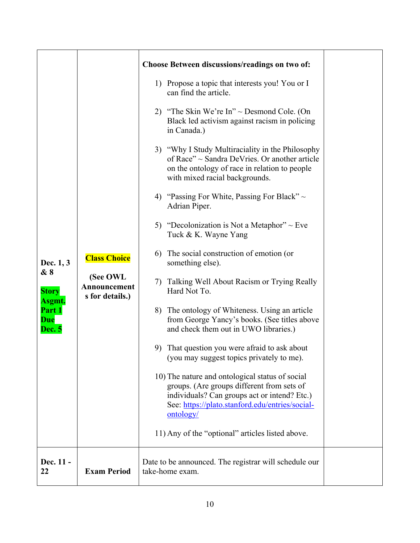|                                                 |                                             | <b>Choose Between discussions/readings on two of:</b>                                                                                                                                                         |  |
|-------------------------------------------------|---------------------------------------------|---------------------------------------------------------------------------------------------------------------------------------------------------------------------------------------------------------------|--|
|                                                 |                                             | 1) Propose a topic that interests you! You or I<br>can find the article.                                                                                                                                      |  |
|                                                 |                                             | 2) "The Skin We're In" $\sim$ Desmond Cole. (On<br>Black led activism against racism in policing<br>in Canada.)                                                                                               |  |
|                                                 |                                             | 3) "Why I Study Multiraciality in the Philosophy<br>of Race" ~ Sandra DeVries. Or another article<br>on the ontology of race in relation to people<br>with mixed racial backgrounds.                          |  |
|                                                 |                                             | 4) "Passing For White, Passing For Black" $\sim$<br>Adrian Piper.                                                                                                                                             |  |
| Dec. 1, 3                                       | <b>Class Choice</b>                         | 5) "Decolonization is Not a Metaphor" $\sim$ Eve<br>Tuck & K. Wayne Yang                                                                                                                                      |  |
|                                                 |                                             | The social construction of emotion (or<br>6)<br>something else).                                                                                                                                              |  |
| & 8<br><b>Story</b>                             | (See OWL<br>Announcement<br>s for details.) | Talking Well About Racism or Trying Really<br>7)<br>Hard Not To.                                                                                                                                              |  |
| Asgmt.<br>Part 1<br><b>Due</b><br><b>Dec. 5</b> |                                             | The ontology of Whiteness. Using an article<br>8)<br>from George Yancy's books. (See titles above<br>and check them out in UWO libraries.)                                                                    |  |
|                                                 |                                             | 9) That question you were afraid to ask about<br>(you may suggest topics privately to me).                                                                                                                    |  |
|                                                 |                                             | 10) The nature and ontological status of social<br>groups. (Are groups different from sets of<br>individuals? Can groups act or intend? Etc.)<br>See: https://plato.stanford.edu/entries/social-<br>ontology/ |  |
|                                                 |                                             | 11) Any of the "optional" articles listed above.                                                                                                                                                              |  |
| Dec. 11 -<br>22                                 | <b>Exam Period</b>                          | Date to be announced. The registrar will schedule our<br>take-home exam.                                                                                                                                      |  |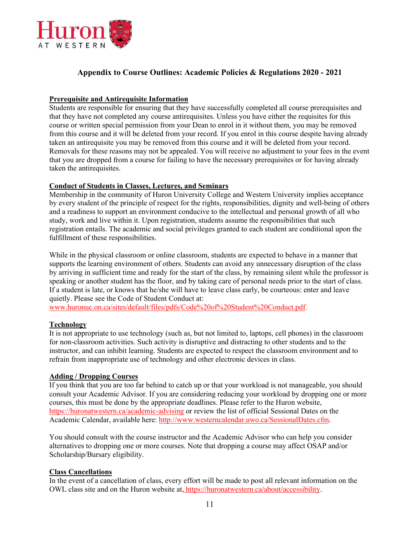

# **Appendix to Course Outlines: Academic Policies & Regulations 2020 - 2021**

#### **Prerequisite and Antirequisite Information**

Students are responsible for ensuring that they have successfully completed all course prerequisites and that they have not completed any course antirequisites. Unless you have either the requisites for this course or written special permission from your Dean to enrol in it without them, you may be removed from this course and it will be deleted from your record. If you enrol in this course despite having already taken an antirequisite you may be removed from this course and it will be deleted from your record. Removals for these reasons may not be appealed. You will receive no adjustment to your fees in the event that you are dropped from a course for failing to have the necessary prerequisites or for having already taken the antirequisites.

#### **Conduct of Students in Classes, Lectures, and Seminars**

Membership in the community of Huron University College and Western University implies acceptance by every student of the principle of respect for the rights, responsibilities, dignity and well-being of others and a readiness to support an environment conducive to the intellectual and personal growth of all who study, work and live within it. Upon registration, students assume the responsibilities that such registration entails. The academic and social privileges granted to each student are conditional upon the fulfillment of these responsibilities.

While in the physical classroom or online classroom, students are expected to behave in a manner that supports the learning environment of others. Students can avoid any unnecessary disruption of the class by arriving in sufficient time and ready for the start of the class, by remaining silent while the professor is speaking or another student has the floor, and by taking care of personal needs prior to the start of class. If a student is late, or knows that he/she will have to leave class early, be courteous: enter and leave quietly. Please see the Code of Student Conduct at:

www.huronuc.on.ca/sites/default/files/pdfs/Code%20of%20Student%20Conduct.pdf.

#### **Technology**

It is not appropriate to use technology (such as, but not limited to, laptops, cell phones) in the classroom for non-classroom activities. Such activity is disruptive and distracting to other students and to the instructor, and can inhibit learning. Students are expected to respect the classroom environment and to refrain from inappropriate use of technology and other electronic devices in class.

#### **Adding / Dropping Courses**

If you think that you are too far behind to catch up or that your workload is not manageable, you should consult your Academic Advisor. If you are considering reducing your workload by dropping one or more courses, this must be done by the appropriate deadlines. Please refer to the Huron website, https://huronatwestern.ca/academic-advising or review the list of official Sessional Dates on the Academic Calendar, available here: http://www.westerncalendar.uwo.ca/SessionalDates.cfm.

You should consult with the course instructor and the Academic Advisor who can help you consider alternatives to dropping one or more courses. Note that dropping a course may affect OSAP and/or Scholarship/Bursary eligibility.

#### **Class Cancellations**

In the event of a cancellation of class, every effort will be made to post all relevant information on the OWL class site and on the Huron website at, https://huronatwestern.ca/about/accessibility.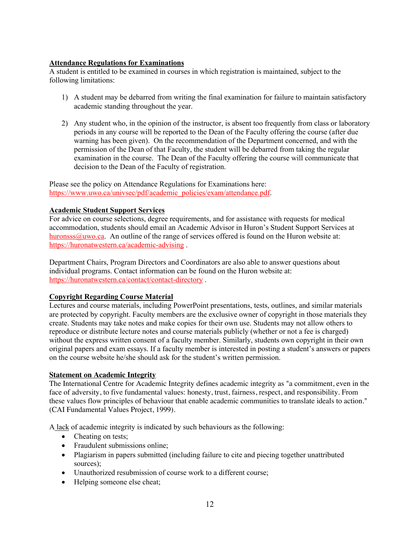#### **Attendance Regulations for Examinations**

A student is entitled to be examined in courses in which registration is maintained, subject to the following limitations:

- 1) A student may be debarred from writing the final examination for failure to maintain satisfactory academic standing throughout the year.
- 2) Any student who, in the opinion of the instructor, is absent too frequently from class or laboratory periods in any course will be reported to the Dean of the Faculty offering the course (after due warning has been given). On the recommendation of the Department concerned, and with the permission of the Dean of that Faculty, the student will be debarred from taking the regular examination in the course. The Dean of the Faculty offering the course will communicate that decision to the Dean of the Faculty of registration.

Please see the policy on Attendance Regulations for Examinations here: https://www.uwo.ca/univsec/pdf/academic\_policies/exam/attendance.pdf.

#### **Academic Student Support Services**

For advice on course selections, degree requirements, and for assistance with requests for medical accommodation, students should email an Academic Advisor in Huron's Student Support Services at huronsss@uwo.ca. An outline of the range of services offered is found on the Huron website at: https://huronatwestern.ca/academic-advising .

Department Chairs, Program Directors and Coordinators are also able to answer questions about individual programs. Contact information can be found on the Huron website at: https://huronatwestern.ca/contact/contact-directory .

#### **Copyright Regarding Course Material**

Lectures and course materials, including PowerPoint presentations, tests, outlines, and similar materials are protected by copyright. Faculty members are the exclusive owner of copyright in those materials they create. Students may take notes and make copies for their own use. Students may not allow others to reproduce or distribute lecture notes and course materials publicly (whether or not a fee is charged) without the express written consent of a faculty member. Similarly, students own copyright in their own original papers and exam essays. If a faculty member is interested in posting a student's answers or papers on the course website he/she should ask for the student's written permission.

#### **Statement on Academic Integrity**

The International Centre for Academic Integrity defines academic integrity as "a commitment, even in the face of adversity, to five fundamental values: honesty, trust, fairness, respect, and responsibility. From these values flow principles of behaviour that enable academic communities to translate ideals to action." (CAI Fundamental Values Project, 1999).

A lack of academic integrity is indicated by such behaviours as the following:

- Cheating on tests;
- Fraudulent submissions online;
- Plagiarism in papers submitted (including failure to cite and piecing together unattributed sources);
- Unauthorized resubmission of course work to a different course;
- Helping someone else cheat;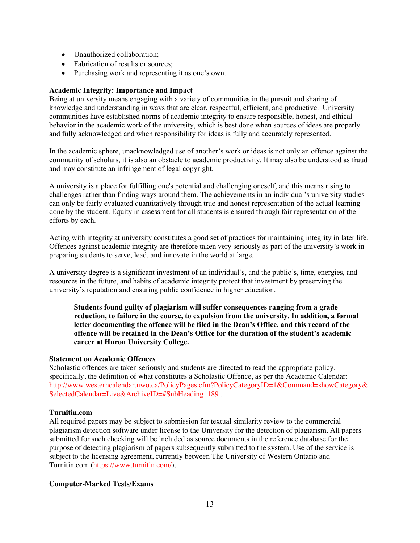- Unauthorized collaboration:
- Fabrication of results or sources:
- Purchasing work and representing it as one's own.

# **Academic Integrity: Importance and Impact**

Being at university means engaging with a variety of communities in the pursuit and sharing of knowledge and understanding in ways that are clear, respectful, efficient, and productive. University communities have established norms of academic integrity to ensure responsible, honest, and ethical behavior in the academic work of the university, which is best done when sources of ideas are properly and fully acknowledged and when responsibility for ideas is fully and accurately represented.

In the academic sphere, unacknowledged use of another's work or ideas is not only an offence against the community of scholars, it is also an obstacle to academic productivity. It may also be understood as fraud and may constitute an infringement of legal copyright.

A university is a place for fulfilling one's potential and challenging oneself, and this means rising to challenges rather than finding ways around them. The achievements in an individual's university studies can only be fairly evaluated quantitatively through true and honest representation of the actual learning done by the student. Equity in assessment for all students is ensured through fair representation of the efforts by each.

Acting with integrity at university constitutes a good set of practices for maintaining integrity in later life. Offences against academic integrity are therefore taken very seriously as part of the university's work in preparing students to serve, lead, and innovate in the world at large.

A university degree is a significant investment of an individual's, and the public's, time, energies, and resources in the future, and habits of academic integrity protect that investment by preserving the university's reputation and ensuring public confidence in higher education.

**Students found guilty of plagiarism will suffer consequences ranging from a grade reduction, to failure in the course, to expulsion from the university. In addition, a formal letter documenting the offence will be filed in the Dean's Office, and this record of the offence will be retained in the Dean's Office for the duration of the student's academic career at Huron University College.**

#### **Statement on Academic Offences**

Scholastic offences are taken seriously and students are directed to read the appropriate policy, specifically, the definition of what constitutes a Scholastic Offence, as per the Academic Calendar: http://www.westerncalendar.uwo.ca/PolicyPages.cfm?PolicyCategoryID=1&Command=showCategory& SelectedCalendar=Live&ArchiveID=#SubHeading 189.

# **Turnitin.com**

All required papers may be subject to submission for textual similarity review to the commercial plagiarism detection software under license to the University for the detection of plagiarism. All papers submitted for such checking will be included as source documents in the reference database for the purpose of detecting plagiarism of papers subsequently submitted to the system. Use of the service is subject to the licensing agreement, currently between The University of Western Ontario and Turnitin.com (https://www.turnitin.com/).

# **Computer-Marked Tests/Exams**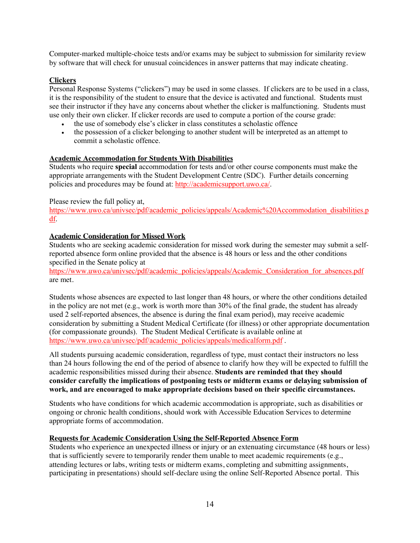Computer-marked multiple-choice tests and/or exams may be subject to submission for similarity review by software that will check for unusual coincidences in answer patterns that may indicate cheating.

## **Clickers**

Personal Response Systems ("clickers") may be used in some classes. If clickers are to be used in a class, it is the responsibility of the student to ensure that the device is activated and functional. Students must see their instructor if they have any concerns about whether the clicker is malfunctioning. Students must use only their own clicker. If clicker records are used to compute a portion of the course grade:

- the use of somebody else's clicker in class constitutes a scholastic offence
- the possession of a clicker belonging to another student will be interpreted as an attempt to commit a scholastic offence.

## **Academic Accommodation for Students With Disabilities**

Students who require **special** accommodation for tests and/or other course components must make the appropriate arrangements with the Student Development Centre (SDC). Further details concerning policies and procedures may be found at: http://academicsupport.uwo.ca/.

#### Please review the full policy at,

https://www.uwo.ca/univsec/pdf/academic\_policies/appeals/Academic%20Accommodation\_disabilities.p df.

## **Academic Consideration for Missed Work**

Students who are seeking academic consideration for missed work during the semester may submit a selfreported absence form online provided that the absence is 48 hours or less and the other conditions specified in the Senate policy at

https://www.uwo.ca/univsec/pdf/academic\_policies/appeals/Academic\_Consideration\_for\_absences.pdf are met.

Students whose absences are expected to last longer than 48 hours, or where the other conditions detailed in the policy are not met (e.g., work is worth more than 30% of the final grade, the student has already used 2 self-reported absences, the absence is during the final exam period), may receive academic consideration by submitting a Student Medical Certificate (for illness) or other appropriate documentation (for compassionate grounds). The Student Medical Certificate is available online at https://www.uwo.ca/univsec/pdf/academic\_policies/appeals/medicalform.pdf.

All students pursuing academic consideration, regardless of type, must contact their instructors no less than 24 hours following the end of the period of absence to clarify how they will be expected to fulfill the academic responsibilities missed during their absence. **Students are reminded that they should consider carefully the implications of postponing tests or midterm exams or delaying submission of work, and are encouraged to make appropriate decisions based on their specific circumstances.**

Students who have conditions for which academic accommodation is appropriate, such as disabilities or ongoing or chronic health conditions, should work with Accessible Education Services to determine appropriate forms of accommodation.

#### **Requests for Academic Consideration Using the Self-Reported Absence Form**

Students who experience an unexpected illness or injury or an extenuating circumstance (48 hours or less) that is sufficiently severe to temporarily render them unable to meet academic requirements (e.g., attending lectures or labs, writing tests or midterm exams, completing and submitting assignments, participating in presentations) should self-declare using the online Self-Reported Absence portal. This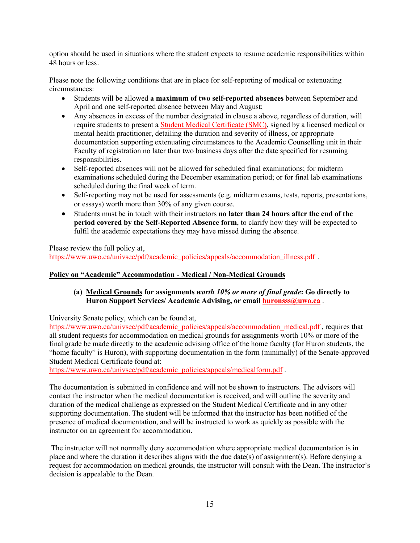option should be used in situations where the student expects to resume academic responsibilities within 48 hours or less.

Please note the following conditions that are in place for self-reporting of medical or extenuating circumstances:

- Students will be allowed **a maximum of two self-reported absences** between September and April and one self-reported absence between May and August;
- Any absences in excess of the number designated in clause a above, regardless of duration, will require students to present a Student Medical Certificate (SMC), signed by a licensed medical or mental health practitioner, detailing the duration and severity of illness, or appropriate documentation supporting extenuating circumstances to the Academic Counselling unit in their Faculty of registration no later than two business days after the date specified for resuming responsibilities.
- Self-reported absences will not be allowed for scheduled final examinations; for midterm examinations scheduled during the December examination period; or for final lab examinations scheduled during the final week of term.
- Self-reporting may not be used for assessments (e.g. midterm exams, tests, reports, presentations, or essays) worth more than 30% of any given course.
- Students must be in touch with their instructors **no later than 24 hours after the end of the period covered by the Self-Reported Absence form**, to clarify how they will be expected to fulfil the academic expectations they may have missed during the absence.

Please review the full policy at,

https://www.uwo.ca/univsec/pdf/academic\_policies/appeals/accommodation\_illness.pdf .

# **Policy on "Academic" Accommodation - Medical / Non-Medical Grounds**

## **(a) Medical Grounds for assignments** *worth 10% or more of final grade***: Go directly to Huron Support Services/ Academic Advising, or email huronsss@uwo.ca** .

University Senate policy, which can be found at,

https://www.uwo.ca/univsec/pdf/academic\_policies/appeals/accommodation\_medical.pdf, requires that all student requests for accommodation on medical grounds for assignments worth 10% or more of the final grade be made directly to the academic advising office of the home faculty (for Huron students, the "home faculty" is Huron), with supporting documentation in the form (minimally) of the Senate-approved Student Medical Certificate found at:

https://www.uwo.ca/univsec/pdf/academic\_policies/appeals/medicalform.pdf.

The documentation is submitted in confidence and will not be shown to instructors. The advisors will contact the instructor when the medical documentation is received, and will outline the severity and duration of the medical challenge as expressed on the Student Medical Certificate and in any other supporting documentation. The student will be informed that the instructor has been notified of the presence of medical documentation, and will be instructed to work as quickly as possible with the instructor on an agreement for accommodation.

The instructor will not normally deny accommodation where appropriate medical documentation is in place and where the duration it describes aligns with the due date(s) of assignment(s). Before denying a request for accommodation on medical grounds, the instructor will consult with the Dean. The instructor's decision is appealable to the Dean.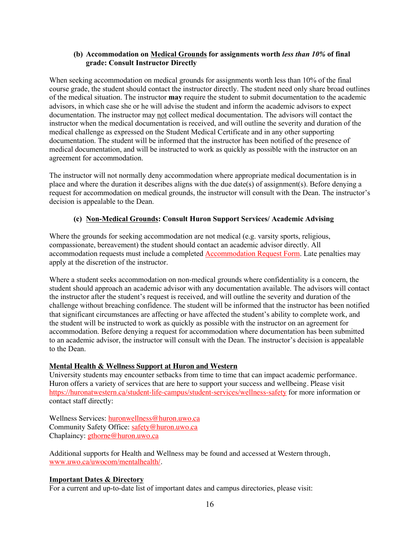#### **(b) Accommodation on Medical Grounds for assignments worth** *less than 10%* **of final grade: Consult Instructor Directly**

When seeking accommodation on medical grounds for assignments worth less than 10% of the final course grade, the student should contact the instructor directly. The student need only share broad outlines of the medical situation. The instructor **may** require the student to submit documentation to the academic advisors, in which case she or he will advise the student and inform the academic advisors to expect documentation. The instructor may not collect medical documentation. The advisors will contact the instructor when the medical documentation is received, and will outline the severity and duration of the medical challenge as expressed on the Student Medical Certificate and in any other supporting documentation. The student will be informed that the instructor has been notified of the presence of medical documentation, and will be instructed to work as quickly as possible with the instructor on an agreement for accommodation.

The instructor will not normally deny accommodation where appropriate medical documentation is in place and where the duration it describes aligns with the due date(s) of assignment(s). Before denying a request for accommodation on medical grounds, the instructor will consult with the Dean. The instructor's decision is appealable to the Dean.

# **(c) Non-Medical Grounds: Consult Huron Support Services/ Academic Advising**

Where the grounds for seeking accommodation are not medical (e.g. varsity sports, religious, compassionate, bereavement) the student should contact an academic advisor directly. All accommodation requests must include a completed Accommodation Request Form. Late penalties may apply at the discretion of the instructor.

Where a student seeks accommodation on non-medical grounds where confidentiality is a concern, the student should approach an academic advisor with any documentation available. The advisors will contact the instructor after the student's request is received, and will outline the severity and duration of the challenge without breaching confidence. The student will be informed that the instructor has been notified that significant circumstances are affecting or have affected the student's ability to complete work, and the student will be instructed to work as quickly as possible with the instructor on an agreement for accommodation. Before denying a request for accommodation where documentation has been submitted to an academic advisor, the instructor will consult with the Dean. The instructor's decision is appealable to the Dean.

#### **Mental Health & Wellness Support at Huron and Western**

University students may encounter setbacks from time to time that can impact academic performance. Huron offers a variety of services that are here to support your success and wellbeing. Please visit https://huronatwestern.ca/student-life-campus/student-services/wellness-safety for more information or contact staff directly:

Wellness Services: huronwellness@huron.uwo.ca Community Safety Office: safety@huron.uwo.ca Chaplaincy: gthorne@huron.uwo.ca

Additional supports for Health and Wellness may be found and accessed at Western through, www.uwo.ca/uwocom/mentalhealth/.

#### **Important Dates & Directory**

For a current and up-to-date list of important dates and campus directories, please visit: